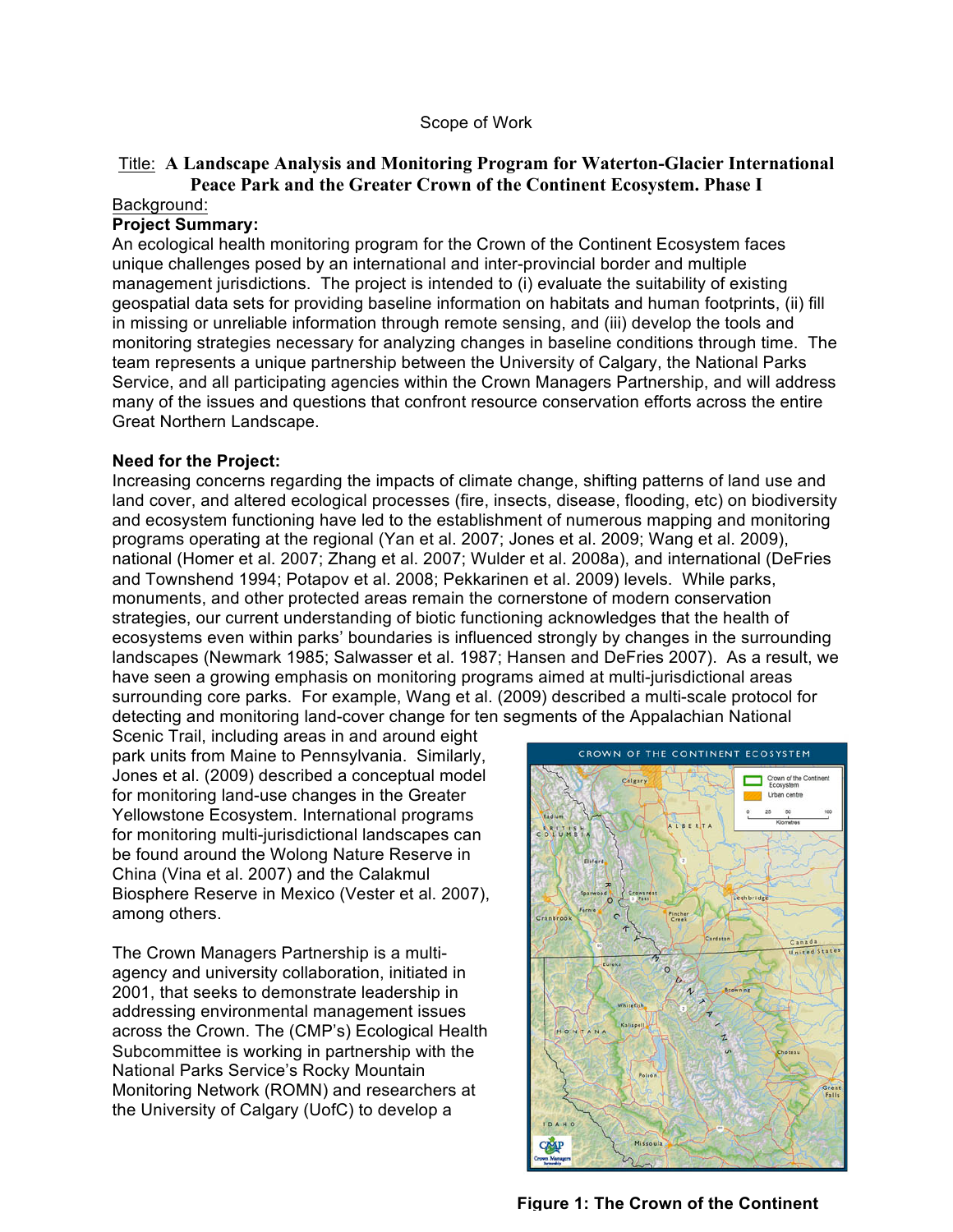### Scope of Work

# Title: **A Landscape Analysis and Monitoring Program for Waterton-Glacier International Peace Park and the Greater Crown of the Continent Ecosystem. Phase I**

### Background:

## **Project Summary:**

An ecological health monitoring program for the Crown of the Continent Ecosystem faces unique challenges posed by an international and inter-provincial border and multiple management jurisdictions. The project is intended to (i) evaluate the suitability of existing geospatial data sets for providing baseline information on habitats and human footprints, (ii) fill in missing or unreliable information through remote sensing, and (iii) develop the tools and monitoring strategies necessary for analyzing changes in baseline conditions through time. The team represents a unique partnership between the University of Calgary, the National Parks Service, and all participating agencies within the Crown Managers Partnership, and will address many of the issues and questions that confront resource conservation efforts across the entire Great Northern Landscape.

### **Need for the Project:**

Increasing concerns regarding the impacts of climate change, shifting patterns of land use and land cover, and altered ecological processes (fire, insects, disease, flooding, etc) on biodiversity and ecosystem functioning have led to the establishment of numerous mapping and monitoring programs operating at the regional (Yan et al. 2007; Jones et al. 2009; Wang et al. 2009), national (Homer et al. 2007; Zhang et al. 2007; Wulder et al. 2008a), and international (DeFries and Townshend 1994; Potapov et al. 2008; Pekkarinen et al. 2009) levels. While parks, monuments, and other protected areas remain the cornerstone of modern conservation strategies, our current understanding of biotic functioning acknowledges that the health of ecosystems even within parks' boundaries is influenced strongly by changes in the surrounding landscapes (Newmark 1985; Salwasser et al. 1987; Hansen and DeFries 2007). As a result, we have seen a growing emphasis on monitoring programs aimed at multi-jurisdictional areas surrounding core parks. For example, Wang et al. (2009) described a multi-scale protocol for detecting and monitoring land-cover change for ten segments of the Appalachian National

Scenic Trail, including areas in and around eight park units from Maine to Pennsylvania. Similarly, Jones et al. (2009) described a conceptual model for monitoring land-use changes in the Greater Yellowstone Ecosystem. International programs for monitoring multi-jurisdictional landscapes can be found around the Wolong Nature Reserve in China (Vina et al. 2007) and the Calakmul Biosphere Reserve in Mexico (Vester et al. 2007), among others.

The Crown Managers Partnership is a multiagency and university collaboration, initiated in 2001, that seeks to demonstrate leadership in addressing environmental management issues across the Crown. The (CMP's) Ecological Health Subcommittee is working in partnership with the National Parks Service's Rocky Mountain Monitoring Network (ROMN) and researchers at the University of Calgary (UofC) to develop a



**Figure 1: The Crown of the Continent**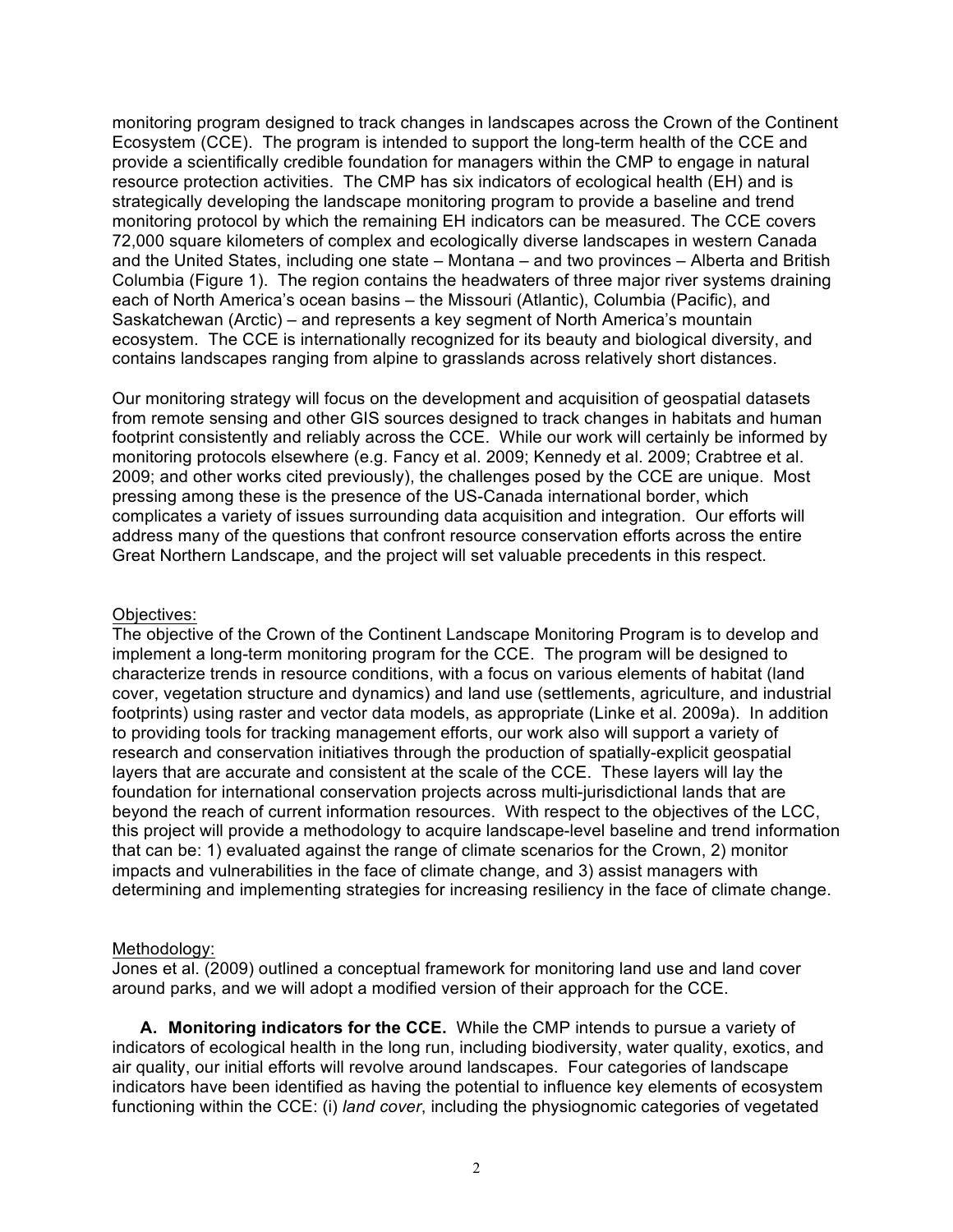monitoring program designed to track changes in landscapes across the Crown of the Continent Ecosystem (CCE). The program is intended to support the long-term health of the CCE and provide a scientifically credible foundation for managers within the CMP to engage in natural resource protection activities. The CMP has six indicators of ecological health (EH) and is strategically developing the landscape monitoring program to provide a baseline and trend monitoring protocol by which the remaining EH indicators can be measured. The CCE covers 72,000 square kilometers of complex and ecologically diverse landscapes in western Canada and the United States, including one state – Montana – and two provinces – Alberta and British Columbia (Figure 1). The region contains the headwaters of three major river systems draining each of North America's ocean basins – the Missouri (Atlantic), Columbia (Pacific), and Saskatchewan (Arctic) – and represents a key segment of North America's mountain ecosystem. The CCE is internationally recognized for its beauty and biological diversity, and contains landscapes ranging from alpine to grasslands across relatively short distances.

Our monitoring strategy will focus on the development and acquisition of geospatial datasets from remote sensing and other GIS sources designed to track changes in habitats and human footprint consistently and reliably across the CCE. While our work will certainly be informed by monitoring protocols elsewhere (e.g. Fancy et al. 2009; Kennedy et al. 2009; Crabtree et al. 2009; and other works cited previously), the challenges posed by the CCE are unique. Most pressing among these is the presence of the US-Canada international border, which complicates a variety of issues surrounding data acquisition and integration. Our efforts will address many of the questions that confront resource conservation efforts across the entire Great Northern Landscape, and the project will set valuable precedents in this respect.

### Objectives:

The objective of the Crown of the Continent Landscape Monitoring Program is to develop and implement a long-term monitoring program for the CCE. The program will be designed to characterize trends in resource conditions, with a focus on various elements of habitat (land cover, vegetation structure and dynamics) and land use (settlements, agriculture, and industrial footprints) using raster and vector data models, as appropriate (Linke et al. 2009a). In addition to providing tools for tracking management efforts, our work also will support a variety of research and conservation initiatives through the production of spatially-explicit geospatial layers that are accurate and consistent at the scale of the CCE. These layers will lay the foundation for international conservation projects across multi-jurisdictional lands that are beyond the reach of current information resources. With respect to the objectives of the LCC, this project will provide a methodology to acquire landscape-level baseline and trend information that can be: 1) evaluated against the range of climate scenarios for the Crown, 2) monitor impacts and vulnerabilities in the face of climate change, and 3) assist managers with determining and implementing strategies for increasing resiliency in the face of climate change.

# Methodology:

Jones et al. (2009) outlined a conceptual framework for monitoring land use and land cover around parks, and we will adopt a modified version of their approach for the CCE.

**A. Monitoring indicators for the CCE.** While the CMP intends to pursue a variety of indicators of ecological health in the long run, including biodiversity, water quality, exotics, and air quality, our initial efforts will revolve around landscapes. Four categories of landscape indicators have been identified as having the potential to influence key elements of ecosystem functioning within the CCE: (i) *land cover*, including the physiognomic categories of vegetated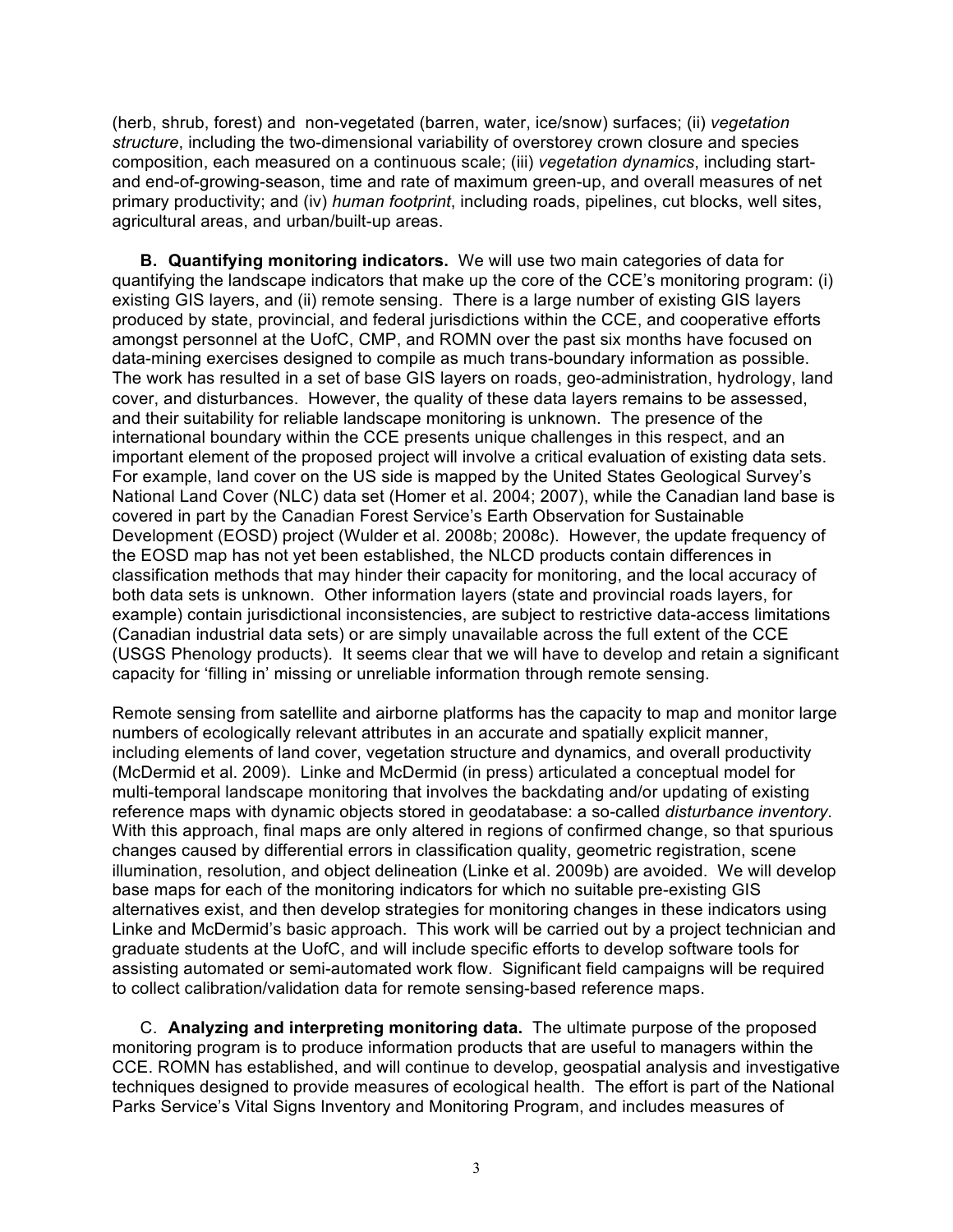(herb, shrub, forest) and non-vegetated (barren, water, ice/snow) surfaces; (ii) *vegetation structure*, including the two-dimensional variability of overstorey crown closure and species composition, each measured on a continuous scale; (iii) *vegetation dynamics*, including startand end-of-growing-season, time and rate of maximum green-up, and overall measures of net primary productivity; and (iv) *human footprint*, including roads, pipelines, cut blocks, well sites, agricultural areas, and urban/built-up areas.

**B. Quantifying monitoring indicators.** We will use two main categories of data for quantifying the landscape indicators that make up the core of the CCE's monitoring program: (i) existing GIS layers, and (ii) remote sensing. There is a large number of existing GIS layers produced by state, provincial, and federal jurisdictions within the CCE, and cooperative efforts amongst personnel at the UofC, CMP, and ROMN over the past six months have focused on data-mining exercises designed to compile as much trans-boundary information as possible. The work has resulted in a set of base GIS layers on roads, geo-administration, hydrology, land cover, and disturbances. However, the quality of these data layers remains to be assessed, and their suitability for reliable landscape monitoring is unknown. The presence of the international boundary within the CCE presents unique challenges in this respect, and an important element of the proposed project will involve a critical evaluation of existing data sets. For example, land cover on the US side is mapped by the United States Geological Survey's National Land Cover (NLC) data set (Homer et al. 2004; 2007), while the Canadian land base is covered in part by the Canadian Forest Service's Earth Observation for Sustainable Development (EOSD) project (Wulder et al. 2008b; 2008c). However, the update frequency of the EOSD map has not yet been established, the NLCD products contain differences in classification methods that may hinder their capacity for monitoring, and the local accuracy of both data sets is unknown. Other information layers (state and provincial roads layers, for example) contain jurisdictional inconsistencies, are subject to restrictive data-access limitations (Canadian industrial data sets) or are simply unavailable across the full extent of the CCE (USGS Phenology products). It seems clear that we will have to develop and retain a significant capacity for 'filling in' missing or unreliable information through remote sensing.

Remote sensing from satellite and airborne platforms has the capacity to map and monitor large numbers of ecologically relevant attributes in an accurate and spatially explicit manner, including elements of land cover, vegetation structure and dynamics, and overall productivity (McDermid et al. 2009). Linke and McDermid (in press) articulated a conceptual model for multi-temporal landscape monitoring that involves the backdating and/or updating of existing reference maps with dynamic objects stored in geodatabase: a so-called *disturbance inventory*. With this approach, final maps are only altered in regions of confirmed change, so that spurious changes caused by differential errors in classification quality, geometric registration, scene illumination, resolution, and object delineation (Linke et al. 2009b) are avoided. We will develop base maps for each of the monitoring indicators for which no suitable pre-existing GIS alternatives exist, and then develop strategies for monitoring changes in these indicators using Linke and McDermid's basic approach. This work will be carried out by a project technician and graduate students at the UofC, and will include specific efforts to develop software tools for assisting automated or semi-automated work flow. Significant field campaigns will be required to collect calibration/validation data for remote sensing-based reference maps.

C. **Analyzing and interpreting monitoring data.** The ultimate purpose of the proposed monitoring program is to produce information products that are useful to managers within the CCE. ROMN has established, and will continue to develop, geospatial analysis and investigative techniques designed to provide measures of ecological health. The effort is part of the National Parks Service's Vital Signs Inventory and Monitoring Program, and includes measures of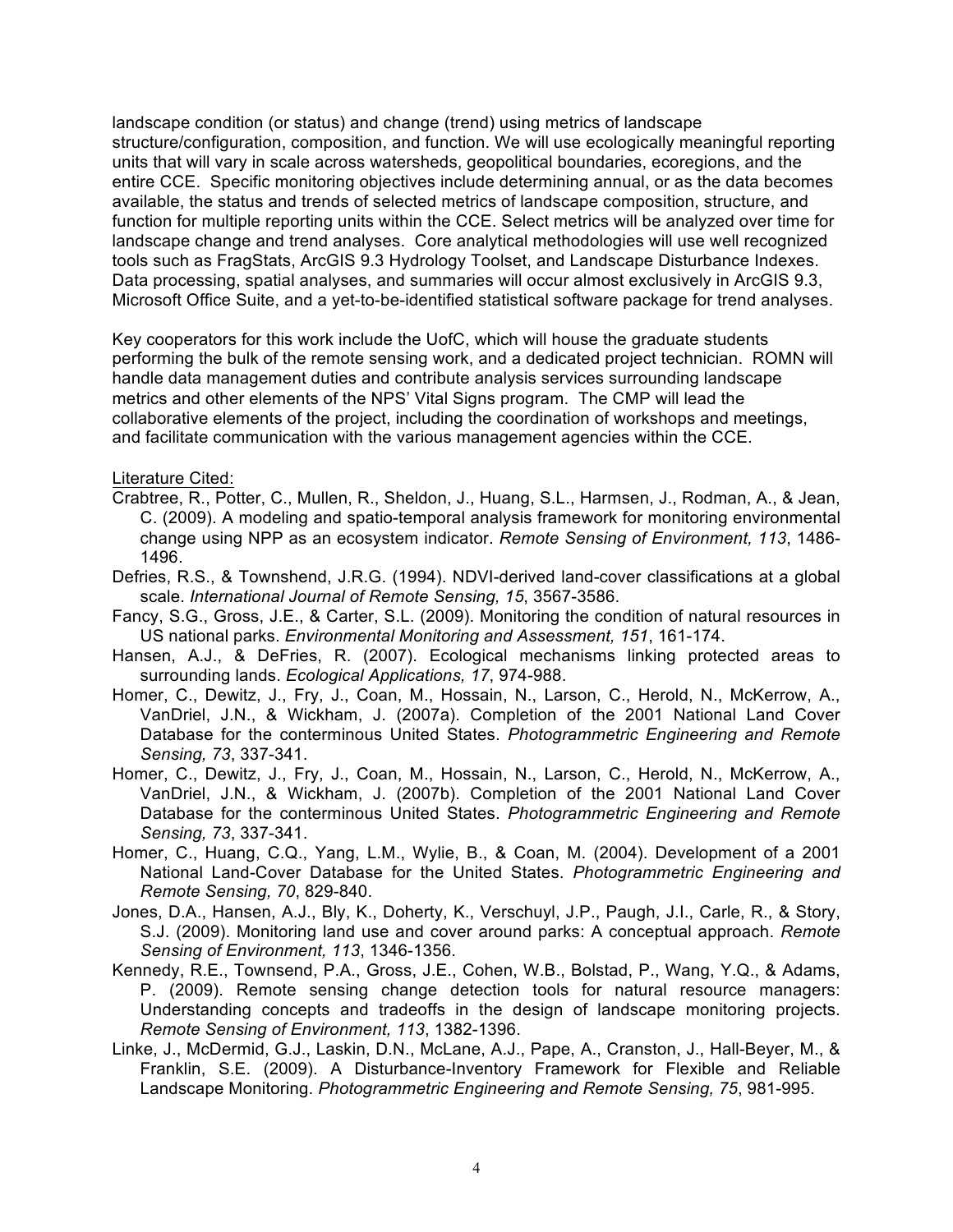landscape condition (or status) and change (trend) using metrics of landscape structure/configuration, composition, and function. We will use ecologically meaningful reporting units that will vary in scale across watersheds, geopolitical boundaries, ecoregions, and the entire CCE. Specific monitoring objectives include determining annual, or as the data becomes available, the status and trends of selected metrics of landscape composition, structure, and function for multiple reporting units within the CCE. Select metrics will be analyzed over time for landscape change and trend analyses. Core analytical methodologies will use well recognized tools such as FragStats, ArcGIS 9.3 Hydrology Toolset, and Landscape Disturbance Indexes. Data processing, spatial analyses, and summaries will occur almost exclusively in ArcGIS 9.3, Microsoft Office Suite, and a yet-to-be-identified statistical software package for trend analyses.

Key cooperators for this work include the UofC, which will house the graduate students performing the bulk of the remote sensing work, and a dedicated project technician. ROMN will handle data management duties and contribute analysis services surrounding landscape metrics and other elements of the NPS' Vital Signs program. The CMP will lead the collaborative elements of the project, including the coordination of workshops and meetings, and facilitate communication with the various management agencies within the CCE.

### Literature Cited:

- Crabtree, R., Potter, C., Mullen, R., Sheldon, J., Huang, S.L., Harmsen, J., Rodman, A., & Jean, C. (2009). A modeling and spatio-temporal analysis framework for monitoring environmental change using NPP as an ecosystem indicator. *Remote Sensing of Environment, 113*, 1486- 1496.
- Defries, R.S., & Townshend, J.R.G. (1994). NDVI-derived land-cover classifications at a global scale. *International Journal of Remote Sensing, 15*, 3567-3586.
- Fancy, S.G., Gross, J.E., & Carter, S.L. (2009). Monitoring the condition of natural resources in US national parks. *Environmental Monitoring and Assessment, 151*, 161-174.
- Hansen, A.J., & DeFries, R. (2007). Ecological mechanisms linking protected areas to surrounding lands. *Ecological Applications, 17*, 974-988.
- Homer, C., Dewitz, J., Fry, J., Coan, M., Hossain, N., Larson, C., Herold, N., McKerrow, A., VanDriel, J.N., & Wickham, J. (2007a). Completion of the 2001 National Land Cover Database for the conterminous United States. *Photogrammetric Engineering and Remote Sensing, 73*, 337-341.
- Homer, C., Dewitz, J., Fry, J., Coan, M., Hossain, N., Larson, C., Herold, N., McKerrow, A., VanDriel, J.N., & Wickham, J. (2007b). Completion of the 2001 National Land Cover Database for the conterminous United States. *Photogrammetric Engineering and Remote Sensing, 73*, 337-341.
- Homer, C., Huang, C.Q., Yang, L.M., Wylie, B., & Coan, M. (2004). Development of a 2001 National Land-Cover Database for the United States. *Photogrammetric Engineering and Remote Sensing, 70*, 829-840.
- Jones, D.A., Hansen, A.J., Bly, K., Doherty, K., Verschuyl, J.P., Paugh, J.I., Carle, R., & Story, S.J. (2009). Monitoring land use and cover around parks: A conceptual approach. *Remote Sensing of Environment, 113*, 1346-1356.
- Kennedy, R.E., Townsend, P.A., Gross, J.E., Cohen, W.B., Bolstad, P., Wang, Y.Q., & Adams, P. (2009). Remote sensing change detection tools for natural resource managers: Understanding concepts and tradeoffs in the design of landscape monitoring projects. *Remote Sensing of Environment, 113*, 1382-1396.
- Linke, J., McDermid, G.J., Laskin, D.N., McLane, A.J., Pape, A., Cranston, J., Hall-Beyer, M., & Franklin, S.E. (2009). A Disturbance-Inventory Framework for Flexible and Reliable Landscape Monitoring. *Photogrammetric Engineering and Remote Sensing, 75*, 981-995.